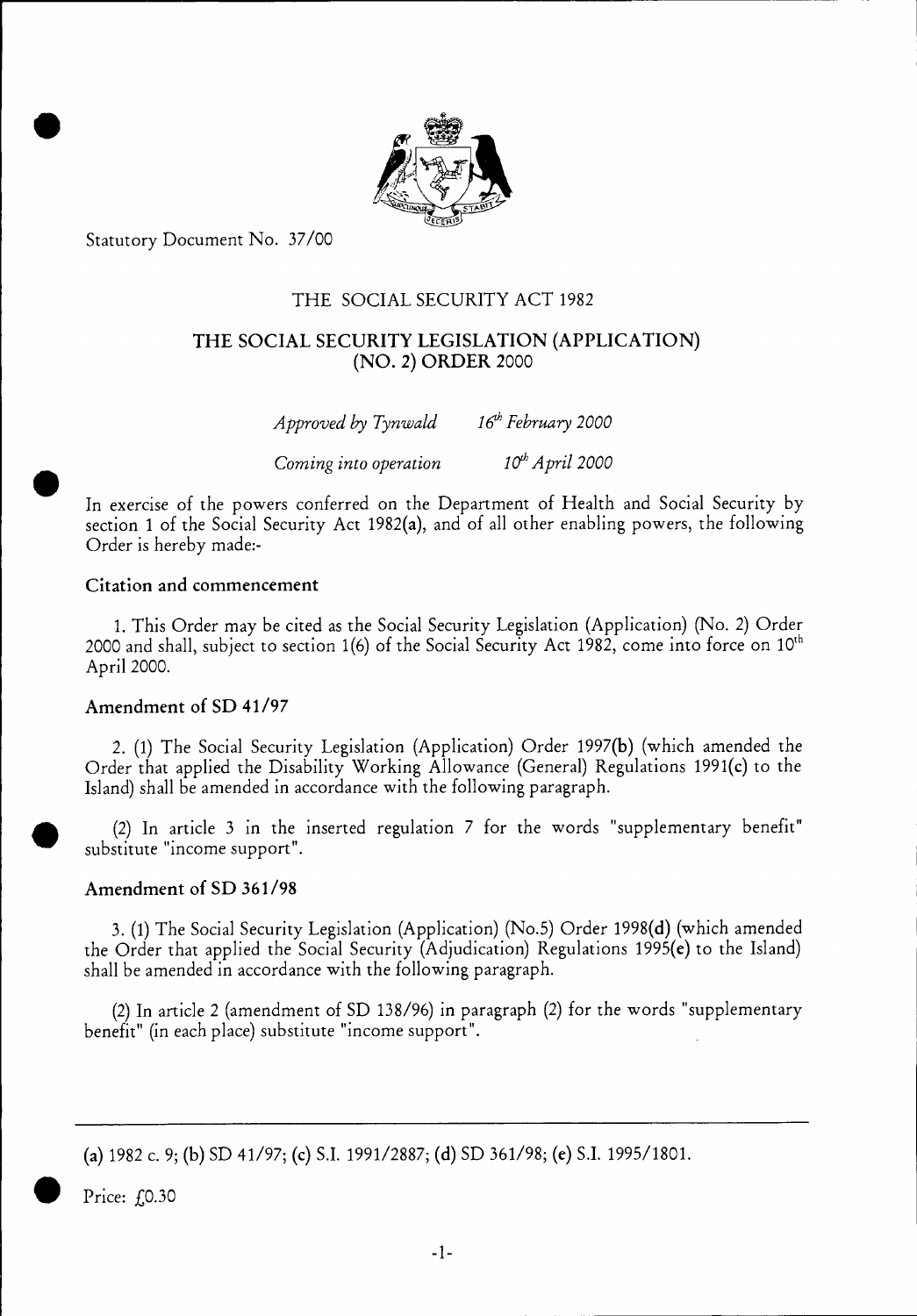

Statutory Document No. 37/00

# THE SOCIAL SECURITY ACT 1982

### THE SOCIAL SECURITY LEGISLATION (APPLICATION) (NO. 2) ORDER 2000

| Approved by Tynwald   | $16^{th}$ February 2000     |
|-----------------------|-----------------------------|
| Coming into operation | 10 <sup>th</sup> April 2000 |

In exercise of the powers conferred on the Department of Health and Social Security by section 1 of the Social Security Act 1982(a), and of all other enabling powers, the following Order is hereby made:-

#### Citation and commencement

1. This Order may be cited as the Social Security Legislation (Application) (No. 2) Order 2000 and shall, subject to section  $1(6)$  of the Social Security Act 1982, come into force on  $10<sup>th</sup>$ April 2000.

### Amendment of SD 41/97

2. (1) The Social Security Legislation (Application) Order 1997(b) (which amended the Order that applied the Disability Working Allowance (General) Regulations 1991(c) to the Island) shall be amended in accordance with the following paragraph.

(2) In article 3 in the inserted regulation 7 for the words "supplementary benefit" substitute "income support".

### Amendment of SD 361/98

3. (1) The Social Security Legislation (Application) (No.5) Order 1998(d) (which amended the Order that applied the Social Security (Adjudication) Regulations 1995(e) to the Island) shall be amended in accordance with the following paragraph.

(2) In article 2 (amendment of SD 138/96) in paragraph (2) for the words "supplementary benefit" (in each place) substitute "income support".

(a) 1982 c. 9; (b) SD 41/97; (c) S.I. 1991/2887; (d) SD 361/98; (e) S.I. 1995/1801.

Price: f.0.30